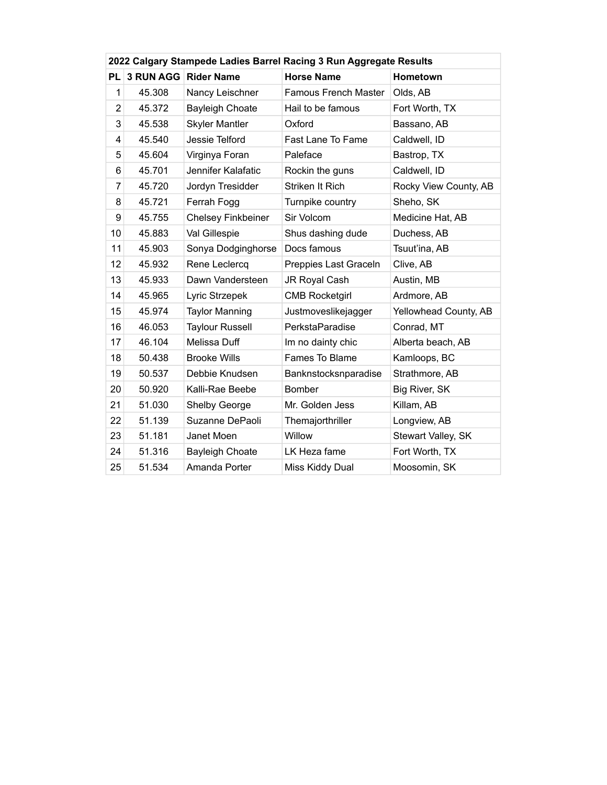|           | 2022 Calgary Stampede Ladies Barrel Racing 3 Run Aggregate Results |                           |                             |                       |  |  |  |  |  |
|-----------|--------------------------------------------------------------------|---------------------------|-----------------------------|-----------------------|--|--|--|--|--|
| <b>PL</b> |                                                                    | 3 RUN AGG Rider Name      | <b>Horse Name</b>           | <b>Hometown</b>       |  |  |  |  |  |
| 1         | 45.308                                                             | Nancy Leischner           | <b>Famous French Master</b> | Olds, AB              |  |  |  |  |  |
| 2         | 45.372                                                             | <b>Bayleigh Choate</b>    | Hail to be famous           | Fort Worth, TX        |  |  |  |  |  |
| 3         | 45.538                                                             | <b>Skyler Mantler</b>     | Oxford                      | Bassano, AB           |  |  |  |  |  |
| 4         | 45.540                                                             | Jessie Telford            | Fast Lane To Fame           | Caldwell, ID          |  |  |  |  |  |
| 5         | 45.604                                                             | Virginya Foran            | Paleface                    | Bastrop, TX           |  |  |  |  |  |
| 6         | 45.701                                                             | Jennifer Kalafatic        | Rockin the guns             | Caldwell, ID          |  |  |  |  |  |
| 7         | 45.720                                                             | Jordyn Tresidder          | Striken It Rich             | Rocky View County, AB |  |  |  |  |  |
| 8         | 45.721                                                             | Ferrah Fogg               | Turnpike country            | Sheho, SK             |  |  |  |  |  |
| 9         | 45.755                                                             | <b>Chelsey Finkbeiner</b> | Sir Volcom                  | Medicine Hat, AB      |  |  |  |  |  |
| 10        | 45.883                                                             | Val Gillespie             | Shus dashing dude           | Duchess, AB           |  |  |  |  |  |
| 11        | 45.903                                                             | Sonya Dodginghorse        | Docs famous                 | Tsuut'ina, AB         |  |  |  |  |  |
| 12        | 45.932                                                             | Rene Leclercq             | Preppies Last Graceln       | Clive, AB             |  |  |  |  |  |
| 13        | 45.933                                                             | Dawn Vandersteen          | JR Royal Cash               | Austin, MB            |  |  |  |  |  |
| 14        | 45.965                                                             | Lyric Strzepek            | <b>CMB Rocketgirl</b>       | Ardmore, AB           |  |  |  |  |  |
| 15        | 45.974                                                             | <b>Taylor Manning</b>     | Justmoveslikejagger         | Yellowhead County, AB |  |  |  |  |  |
| 16        | 46.053                                                             | <b>Taylour Russell</b>    | PerkstaParadise             | Conrad, MT            |  |  |  |  |  |
| 17        | 46.104                                                             | Melissa Duff              | Im no dainty chic           | Alberta beach, AB     |  |  |  |  |  |
| 18        | 50.438                                                             | <b>Brooke Wills</b>       | Fames To Blame              | Kamloops, BC          |  |  |  |  |  |
| 19        | 50.537                                                             | Debbie Knudsen            | Banknstocksnparadise        | Strathmore, AB        |  |  |  |  |  |
| 20        | 50.920                                                             | Kalli-Rae Beebe           | <b>Bomber</b>               | Big River, SK         |  |  |  |  |  |
| 21        | 51.030                                                             | <b>Shelby George</b>      | Mr. Golden Jess             | Killam, AB            |  |  |  |  |  |
| 22        | 51.139                                                             | Suzanne DePaoli           | Themajorthriller            | Longview, AB          |  |  |  |  |  |
| 23        | 51.181                                                             | Janet Moen                | Willow                      | Stewart Valley, SK    |  |  |  |  |  |
| 24        | 51.316                                                             | <b>Bayleigh Choate</b>    | LK Heza fame                | Fort Worth, TX        |  |  |  |  |  |
| 25        | 51.534                                                             | Amanda Porter             | Miss Kiddy Dual             | Moosomin, SK          |  |  |  |  |  |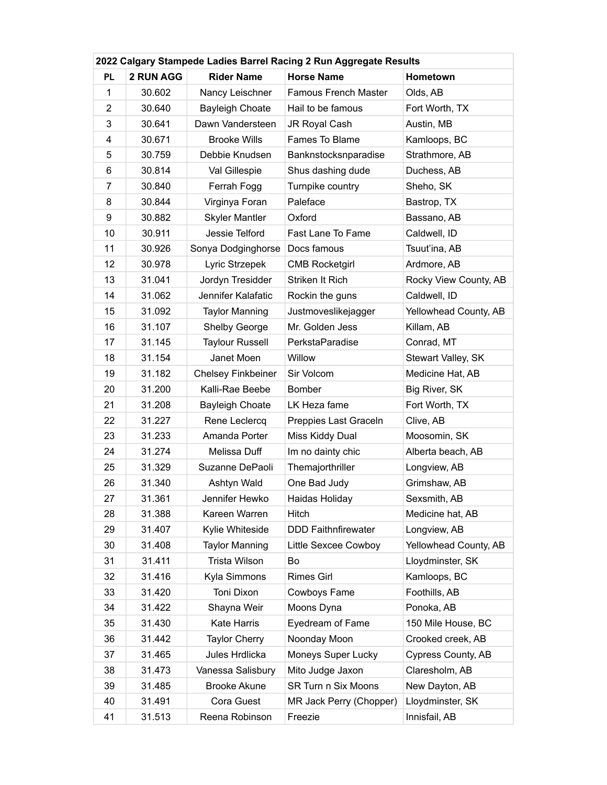| 2022 Calgary Stampede Ladies Barrel Racing 2 Run Aggregate Results |           |                           |                             |                       |  |  |  |
|--------------------------------------------------------------------|-----------|---------------------------|-----------------------------|-----------------------|--|--|--|
| <b>PL</b>                                                          | 2 RUN AGG | <b>Rider Name</b>         | <b>Horse Name</b>           | <b>Hometown</b>       |  |  |  |
| $\mathbf{1}$                                                       | 30.602    | Nancy Leischner           | <b>Famous French Master</b> | Olds, AB              |  |  |  |
| $\overline{2}$                                                     | 30.640    | <b>Bayleigh Choate</b>    | Hail to be famous           | Fort Worth, TX        |  |  |  |
| 3                                                                  | 30.641    | Dawn Vandersteen          | JR Royal Cash               | Austin, MB            |  |  |  |
| 4                                                                  | 30.671    | <b>Brooke Wills</b>       | Fames To Blame              | Kamloops, BC          |  |  |  |
| 5                                                                  | 30.759    | Debbie Knudsen            | Banknstocksnparadise        | Strathmore, AB        |  |  |  |
| 6                                                                  | 30.814    | Val Gillespie             | Shus dashing dude           | Duchess, AB           |  |  |  |
| $\overline{7}$                                                     | 30.840    | Ferrah Fogg               | Turnpike country            | Sheho, SK             |  |  |  |
| 8                                                                  | 30.844    | Virginya Foran            | Paleface                    | Bastrop, TX           |  |  |  |
| 9                                                                  | 30.882    | <b>Skyler Mantler</b>     | Oxford                      | Bassano, AB           |  |  |  |
| 10                                                                 | 30.911    | Jessie Telford            | Fast Lane To Fame           | Caldwell, ID          |  |  |  |
| 11                                                                 | 30.926    | Sonya Dodginghorse        | Docs famous                 | Tsuut'ina, AB         |  |  |  |
| 12                                                                 | 30.978    | Lyric Strzepek            | <b>CMB Rocketgirl</b>       | Ardmore, AB           |  |  |  |
| 13                                                                 | 31.041    | Jordyn Tresidder          | Striken It Rich             | Rocky View County, AB |  |  |  |
| 14                                                                 | 31.062    | Jennifer Kalafatic        | Rockin the guns             | Caldwell, ID          |  |  |  |
| 15                                                                 | 31.092    | <b>Taylor Manning</b>     | Justmoveslikejagger         | Yellowhead County, AB |  |  |  |
| 16                                                                 | 31.107    | Shelby George             | Mr. Golden Jess             | Killam, AB            |  |  |  |
| 17                                                                 | 31.145    | <b>Taylour Russell</b>    | PerkstaParadise             | Conrad, MT            |  |  |  |
| 18                                                                 | 31.154    | Janet Moen                | Willow                      | Stewart Valley, SK    |  |  |  |
| 19                                                                 | 31.182    | <b>Chelsey Finkbeiner</b> | Sir Volcom                  | Medicine Hat, AB      |  |  |  |
| 20                                                                 | 31.200    | Kalli-Rae Beebe           | Bomber                      | Big River, SK         |  |  |  |
| 21                                                                 | 31.208    | <b>Bayleigh Choate</b>    | LK Heza fame                | Fort Worth, TX        |  |  |  |
| 22                                                                 | 31.227    | Rene Leclercq             | Preppies Last Graceln       | Clive, AB             |  |  |  |
| 23                                                                 | 31.233    | Amanda Porter             | Miss Kiddy Dual             | Moosomin, SK          |  |  |  |
| 24                                                                 | 31.274    | Melissa Duff              | Im no dainty chic           | Alberta beach, AB     |  |  |  |
| 25                                                                 | 31.329    | Suzanne DePaoli           | Themajorthriller            | Longview, AB          |  |  |  |
| 26                                                                 | 31.340    | Ashtyn Wald               | One Bad Judy                | Grimshaw, AB          |  |  |  |
| 27                                                                 | 31.361    | Jennifer Hewko            | Haidas Holiday              | Sexsmith, AB          |  |  |  |
| 28                                                                 | 31.388    | Kareen Warren             | Hitch                       | Medicine hat, AB      |  |  |  |
| 29                                                                 | 31.407    | Kylie Whiteside           | <b>DDD Faithnfirewater</b>  | Longview, AB          |  |  |  |
| 30                                                                 | 31.408    | <b>Taylor Manning</b>     | Little Sexcee Cowboy        | Yellowhead County, AB |  |  |  |
| 31                                                                 | 31.411    | Trista Wilson             | <b>Bo</b>                   | Lloydminster, SK      |  |  |  |
| 32                                                                 | 31.416    | Kyla Simmons              | <b>Rimes Girl</b>           | Kamloops, BC          |  |  |  |
| 33                                                                 | 31.420    | Toni Dixon                | Cowboys Fame                | Foothills, AB         |  |  |  |
| 34                                                                 | 31.422    | Shayna Weir               | Moons Dyna                  | Ponoka, AB            |  |  |  |
| 35                                                                 | 31.430    | Kate Harris               | Eyedream of Fame            | 150 Mile House, BC    |  |  |  |
| 36                                                                 | 31.442    | <b>Taylor Cherry</b>      | Noonday Moon                | Crooked creek, AB     |  |  |  |
| 37                                                                 | 31.465    | Jules Hrdlicka            | Moneys Super Lucky          | Cypress County, AB    |  |  |  |
| 38                                                                 | 31.473    | Vanessa Salisbury         | Mito Judge Jaxon            | Claresholm, AB        |  |  |  |
| 39                                                                 | 31.485    | <b>Brooke Akune</b>       | SR Turn n Six Moons         | New Dayton, AB        |  |  |  |
| 40                                                                 | 31.491    | Cora Guest                | MR Jack Perry (Chopper)     | Lloydminster, SK      |  |  |  |
| 41                                                                 | 31.513    | Reena Robinson            | Freezie                     | Innisfail, AB         |  |  |  |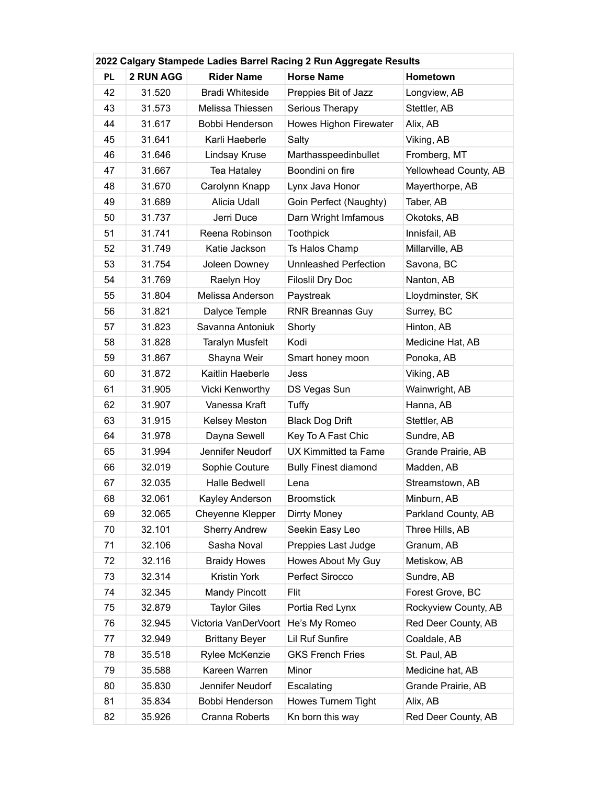| 2022 Calgary Stampede Ladies Barrel Racing 2 Run Aggregate Results |           |                        |                              |                       |  |  |  |
|--------------------------------------------------------------------|-----------|------------------------|------------------------------|-----------------------|--|--|--|
| <b>PL</b>                                                          | 2 RUN AGG | <b>Rider Name</b>      | <b>Horse Name</b>            | Hometown              |  |  |  |
| 42                                                                 | 31.520    | <b>Bradi Whiteside</b> | Preppies Bit of Jazz         | Longview, AB          |  |  |  |
| 43                                                                 | 31.573    | Melissa Thiessen       | Serious Therapy              | Stettler, AB          |  |  |  |
| 44                                                                 | 31.617    | Bobbi Henderson        | Howes Highon Firewater       | Alix, AB              |  |  |  |
| 45                                                                 | 31.641    | Karli Haeberle         | Salty                        | Viking, AB            |  |  |  |
| 46                                                                 | 31.646    | Lindsay Kruse          | Marthasspeedinbullet         | Fromberg, MT          |  |  |  |
| 47                                                                 | 31.667    | Tea Hataley            | Boondini on fire             | Yellowhead County, AB |  |  |  |
| 48                                                                 | 31.670    | Carolynn Knapp         | Lynx Java Honor              | Mayerthorpe, AB       |  |  |  |
| 49                                                                 | 31.689    | Alicia Udall           | Goin Perfect (Naughty)       | Taber, AB             |  |  |  |
| 50                                                                 | 31.737    | Jerri Duce             | Darn Wright Imfamous         | Okotoks, AB           |  |  |  |
| 51                                                                 | 31.741    | Reena Robinson         | <b>Toothpick</b>             | Innisfail, AB         |  |  |  |
| 52                                                                 | 31.749    | Katie Jackson          | Ts Halos Champ               | Millarville, AB       |  |  |  |
| 53                                                                 | 31.754    | Joleen Downey          | <b>Unnleashed Perfection</b> | Savona, BC            |  |  |  |
| 54                                                                 | 31.769    | Raelyn Hoy             | <b>Filoslil Dry Doc</b>      | Nanton, AB            |  |  |  |
| 55                                                                 | 31.804    | Melissa Anderson       | Paystreak                    | Lloydminster, SK      |  |  |  |
| 56                                                                 | 31.821    | Dalyce Temple          | <b>RNR Breannas Guy</b>      | Surrey, BC            |  |  |  |
| 57                                                                 | 31.823    | Savanna Antoniuk       | Shorty                       | Hinton, AB            |  |  |  |
| 58                                                                 | 31.828    | <b>Taralyn Musfelt</b> | Kodi                         | Medicine Hat, AB      |  |  |  |
| 59                                                                 | 31.867    | Shayna Weir            | Smart honey moon             | Ponoka, AB            |  |  |  |
| 60                                                                 | 31.872    | Kaitlin Haeberle       | Jess                         | Viking, AB            |  |  |  |
| 61                                                                 | 31.905    | Vicki Kenworthy        | DS Vegas Sun                 | Wainwright, AB        |  |  |  |
| 62                                                                 | 31.907    | Vanessa Kraft          | Tuffy                        | Hanna, AB             |  |  |  |
| 63                                                                 | 31.915    | Kelsey Meston          | <b>Black Dog Drift</b>       | Stettler, AB          |  |  |  |
| 64                                                                 | 31.978    | Dayna Sewell           | Key To A Fast Chic           | Sundre, AB            |  |  |  |
| 65                                                                 | 31.994    | Jennifer Neudorf       | <b>UX Kimmitted ta Fame</b>  | Grande Prairie, AB    |  |  |  |
| 66                                                                 | 32.019    | Sophie Couture         | <b>Bully Finest diamond</b>  | Madden, AB            |  |  |  |
| 67                                                                 | 32.035    | Halle Bedwell          | Lena                         | Streamstown, AB       |  |  |  |
| 68                                                                 | 32.061    | Kayley Anderson        | <b>Broomstick</b>            | Minburn, AB           |  |  |  |
| 69                                                                 | 32.065    | Cheyenne Klepper       | Dirrty Money                 | Parkland County, AB   |  |  |  |
| 70                                                                 | 32.101    | <b>Sherry Andrew</b>   | Seekin Easy Leo              | Three Hills, AB       |  |  |  |
| 71                                                                 | 32.106    | Sasha Noval            | Preppies Last Judge          | Granum, AB            |  |  |  |
| 72                                                                 | 32.116    | <b>Braidy Howes</b>    | Howes About My Guy           | Metiskow, AB          |  |  |  |
| 73                                                                 | 32.314    | Kristin York           | Perfect Sirocco              | Sundre, AB            |  |  |  |
| 74                                                                 | 32.345    | <b>Mandy Pincott</b>   | Flit                         | Forest Grove, BC      |  |  |  |
| 75                                                                 | 32.879    | <b>Taylor Giles</b>    | Portia Red Lynx              | Rockyview County, AB  |  |  |  |
| 76                                                                 | 32.945    | Victoria VanDerVoort   | He's My Romeo                | Red Deer County, AB   |  |  |  |
| 77                                                                 | 32.949    | <b>Brittany Beyer</b>  | Lil Ruf Sunfire              | Coaldale, AB          |  |  |  |
| 78                                                                 | 35.518    | Rylee McKenzie         | <b>GKS French Fries</b>      | St. Paul, AB          |  |  |  |
| 79                                                                 | 35.588    | Kareen Warren          | Minor                        | Medicine hat, AB      |  |  |  |
| 80                                                                 | 35.830    | Jennifer Neudorf       | Escalating                   | Grande Prairie, AB    |  |  |  |
| 81                                                                 | 35.834    | Bobbi Henderson        | Howes Turnem Tight           | Alix, AB              |  |  |  |
| 82                                                                 | 35.926    | Cranna Roberts         | Kn born this way             | Red Deer County, AB   |  |  |  |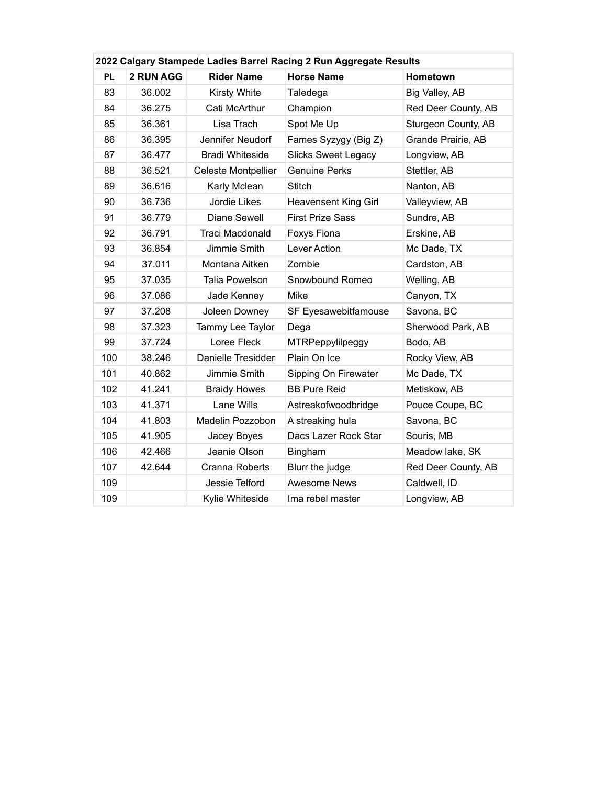| 2022 Calgary Stampede Ladies Barrel Racing 2 Run Aggregate Results |           |                            |                             |                     |  |  |
|--------------------------------------------------------------------|-----------|----------------------------|-----------------------------|---------------------|--|--|
| <b>PL</b>                                                          | 2 RUN AGG | <b>Rider Name</b>          | <b>Horse Name</b>           | Hometown            |  |  |
| 83                                                                 | 36.002    | Kirsty White               | Taledega                    | Big Valley, AB      |  |  |
| 84                                                                 | 36.275    | Cati McArthur              | Champion                    | Red Deer County, AB |  |  |
| 85                                                                 | 36.361    | Lisa Trach                 | Spot Me Up                  | Sturgeon County, AB |  |  |
| 86                                                                 | 36.395    | Jennifer Neudorf           | Fames Syzygy (Big Z)        | Grande Prairie, AB  |  |  |
| 87                                                                 | 36.477    | <b>Bradi Whiteside</b>     | <b>Slicks Sweet Legacy</b>  | Longview, AB        |  |  |
| 88                                                                 | 36.521    | <b>Celeste Montpellier</b> | <b>Genuine Perks</b>        | Stettler, AB        |  |  |
| 89                                                                 | 36.616    | Karly Mclean               | <b>Stitch</b>               | Nanton, AB          |  |  |
| 90                                                                 | 36.736    | Jordie Likes               | <b>Heavensent King Girl</b> | Valleyview, AB      |  |  |
| 91                                                                 | 36.779    | Diane Sewell               | <b>First Prize Sass</b>     | Sundre, AB          |  |  |
| 92                                                                 | 36.791    | Traci Macdonald            | Foxys Fiona                 | Erskine, AB         |  |  |
| 93                                                                 | 36.854    | Jimmie Smith               | Lever Action                | Mc Dade, TX         |  |  |
| 94                                                                 | 37.011    | Montana Aitken             | Zombie                      | Cardston, AB        |  |  |
| 95                                                                 | 37.035    | Talia Powelson             | Snowbound Romeo             | Welling, AB         |  |  |
| 96                                                                 | 37.086    | Jade Kenney                | Mike                        | Canyon, TX          |  |  |
| 97                                                                 | 37.208    | Joleen Downey              | SF Eyesawebitfamouse        | Savona, BC          |  |  |
| 98                                                                 | 37.323    | Tammy Lee Taylor           | Dega                        | Sherwood Park, AB   |  |  |
| 99                                                                 | 37.724    | Loree Fleck                | <b>MTRPeppylilpeggy</b>     | Bodo, AB            |  |  |
| 100                                                                | 38.246    | Danielle Tresidder         | Plain On Ice                | Rocky View, AB      |  |  |
| 101                                                                | 40.862    | Jimmie Smith               | Sipping On Firewater        | Mc Dade, TX         |  |  |
| 102                                                                | 41.241    | <b>Braidy Howes</b>        | <b>BB Pure Reid</b>         | Metiskow, AB        |  |  |
| 103                                                                | 41.371    | Lane Wills                 | Astreakofwoodbridge         | Pouce Coupe, BC     |  |  |
| 104                                                                | 41.803    | Madelin Pozzobon           | A streaking hula            | Savona, BC          |  |  |
| 105                                                                | 41.905    | Jacey Boyes                | Dacs Lazer Rock Star        | Souris, MB          |  |  |
| 106                                                                | 42.466    | Jeanie Olson               | Bingham                     | Meadow lake, SK     |  |  |
| 107                                                                | 42.644    | Cranna Roberts             | Blurr the judge             | Red Deer County, AB |  |  |
| 109                                                                |           | Jessie Telford             | <b>Awesome News</b>         | Caldwell, ID        |  |  |
| 109                                                                |           | Kylie Whiteside            | Ima rebel master            | Longview, AB        |  |  |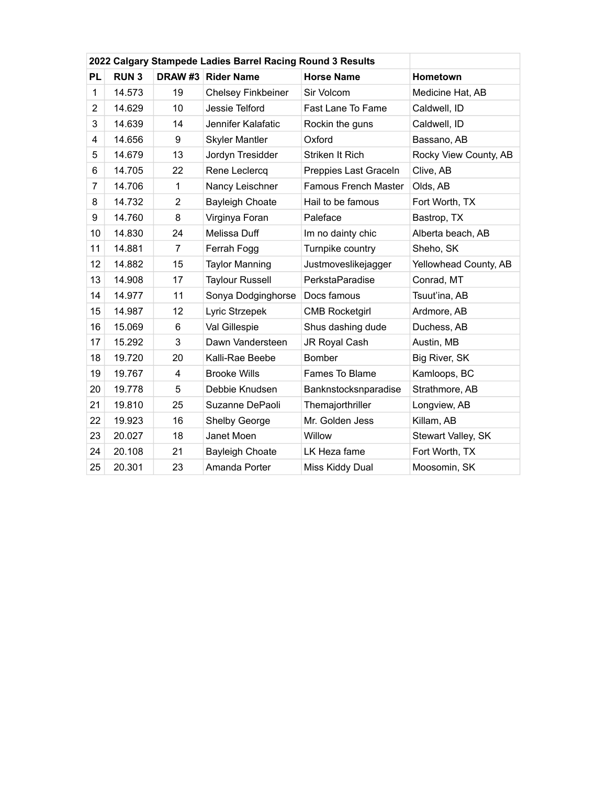|                | 2022 Calgary Stampede Ladies Barrel Racing Round 3 Results |                |                           |                             |                       |
|----------------|------------------------------------------------------------|----------------|---------------------------|-----------------------------|-----------------------|
| <b>PL</b>      | <b>RUN3</b>                                                | DRAW#3         | <b>Rider Name</b>         | <b>Horse Name</b>           | Hometown              |
| 1              | 14.573                                                     | 19             | <b>Chelsey Finkbeiner</b> | Sir Volcom                  | Medicine Hat, AB      |
| $\overline{2}$ | 14.629                                                     | 10             | Jessie Telford            | Fast Lane To Fame           | Caldwell, ID          |
| 3              | 14.639                                                     | 14             | Jennifer Kalafatic        | Rockin the guns             | Caldwell, ID          |
| 4              | 14.656                                                     | 9              | <b>Skyler Mantler</b>     | Oxford                      | Bassano, AB           |
| 5              | 14.679                                                     | 13             | Jordyn Tresidder          | Striken It Rich             | Rocky View County, AB |
| 6              | 14.705                                                     | 22             | Rene Leclercq             | Preppies Last Graceln       | Clive, AB             |
| 7              | 14.706                                                     | 1              | Nancy Leischner           | <b>Famous French Master</b> | Olds, AB              |
| 8              | 14.732                                                     | $\overline{2}$ | <b>Bayleigh Choate</b>    | Hail to be famous           | Fort Worth, TX        |
| 9              | 14.760                                                     | 8              | Virginya Foran            | Paleface                    | Bastrop, TX           |
| 10             | 14.830                                                     | 24             | Melissa Duff              | Im no dainty chic           | Alberta beach, AB     |
| 11             | 14.881                                                     | 7              | Ferrah Fogg               | Turnpike country            | Sheho, SK             |
| 12             | 14.882                                                     | 15             | <b>Taylor Manning</b>     | Justmoveslikejagger         | Yellowhead County, AB |
| 13             | 14.908                                                     | 17             | <b>Taylour Russell</b>    | PerkstaParadise             | Conrad, MT            |
| 14             | 14.977                                                     | 11             | Sonya Dodginghorse        | Docs famous                 | Tsuut'ina, AB         |
| 15             | 14.987                                                     | 12             | Lyric Strzepek            | <b>CMB Rocketgirl</b>       | Ardmore, AB           |
| 16             | 15.069                                                     | 6              | Val Gillespie             | Shus dashing dude           | Duchess, AB           |
| 17             | 15.292                                                     | 3              | Dawn Vandersteen          | JR Royal Cash               | Austin, MB            |
| 18             | 19.720                                                     | 20             | Kalli-Rae Beebe           | Bomber                      | Big River, SK         |
| 19             | 19.767                                                     | 4              | <b>Brooke Wills</b>       | Fames To Blame              | Kamloops, BC          |
| 20             | 19.778                                                     | 5              | Debbie Knudsen            | Banknstocksnparadise        | Strathmore, AB        |
| 21             | 19.810                                                     | 25             | Suzanne DePaoli           | Themajorthriller            | Longview, AB          |
| 22             | 19.923                                                     | 16             | Shelby George             | Mr. Golden Jess             | Killam, AB            |
| 23             | 20.027                                                     | 18             | Janet Moen                | Willow                      | Stewart Valley, SK    |
| 24             | 20.108                                                     | 21             | <b>Bayleigh Choate</b>    | LK Heza fame                | Fort Worth, TX        |
| 25             | 20.301                                                     | 23             | Amanda Porter             | Miss Kiddy Dual             | Moosomin, SK          |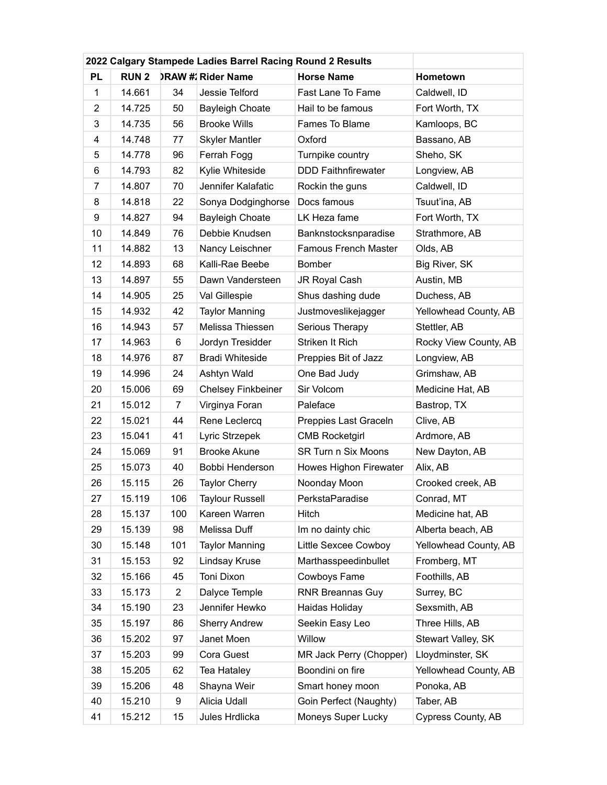|                | 2022 Calgary Stampede Ladies Barrel Racing Round 2 Results |              |                           |                             |                       |
|----------------|------------------------------------------------------------|--------------|---------------------------|-----------------------------|-----------------------|
| <b>PL</b>      | <b>RUN2</b>                                                |              | <b>DRAW #: Rider Name</b> | <b>Horse Name</b>           | Hometown              |
| 1              | 14.661                                                     | 34           | Jessie Telford            | Fast Lane To Fame           | Caldwell, ID          |
| $\overline{2}$ | 14.725                                                     | 50           | <b>Bayleigh Choate</b>    | Hail to be famous           | Fort Worth, TX        |
| 3              | 14.735                                                     | 56           | <b>Brooke Wills</b>       | Fames To Blame              | Kamloops, BC          |
| 4              | 14.748                                                     | 77           | <b>Skyler Mantler</b>     | Oxford                      | Bassano, AB           |
| 5              | 14.778                                                     | 96           | Ferrah Fogg               | Turnpike country            | Sheho, SK             |
| 6              | 14.793                                                     | 82           | Kylie Whiteside           | <b>DDD Faithnfirewater</b>  | Longview, AB          |
| $\overline{7}$ | 14.807                                                     | 70           | Jennifer Kalafatic        | Rockin the guns             | Caldwell, ID          |
| 8              | 14.818                                                     | 22           | Sonya Dodginghorse        | Docs famous                 | Tsuut'ina, AB         |
| 9              | 14.827                                                     | 94           | <b>Bayleigh Choate</b>    | LK Heza fame                | Fort Worth, TX        |
| 10             | 14.849                                                     | 76           | Debbie Knudsen            | Banknstocksnparadise        | Strathmore, AB        |
| 11             | 14.882                                                     | 13           | Nancy Leischner           | <b>Famous French Master</b> | Olds, AB              |
| 12             | 14.893                                                     | 68           | Kalli-Rae Beebe           | <b>Bomber</b>               | Big River, SK         |
| 13             | 14.897                                                     | 55           | Dawn Vandersteen          | JR Royal Cash               | Austin, MB            |
| 14             | 14.905                                                     | 25           | Val Gillespie             | Shus dashing dude           | Duchess, AB           |
| 15             | 14.932                                                     | 42           | <b>Taylor Manning</b>     | Justmoveslikejagger         | Yellowhead County, AB |
| 16             | 14.943                                                     | 57           | Melissa Thiessen          | Serious Therapy             | Stettler, AB          |
| 17             | 14.963                                                     | 6            | Jordyn Tresidder          | Striken It Rich             | Rocky View County, AB |
| 18             | 14.976                                                     | 87           | <b>Bradi Whiteside</b>    | Preppies Bit of Jazz        | Longview, AB          |
| 19             | 14.996                                                     | 24           | Ashtyn Wald               | One Bad Judy                | Grimshaw, AB          |
| 20             | 15.006                                                     | 69           | <b>Chelsey Finkbeiner</b> | Sir Volcom                  | Medicine Hat, AB      |
| 21             | 15.012                                                     | 7            | Virginya Foran            | Paleface                    | Bastrop, TX           |
| 22             | 15.021                                                     | 44           | Rene Leclercq             | Preppies Last Graceln       | Clive, AB             |
| 23             | 15.041                                                     | 41           | Lyric Strzepek            | <b>CMB Rocketgirl</b>       | Ardmore, AB           |
| 24             | 15.069                                                     | 91           | <b>Brooke Akune</b>       | <b>SR Turn n Six Moons</b>  | New Dayton, AB        |
| 25             | 15.073                                                     | 40           | Bobbi Henderson           | Howes Highon Firewater      | Alix, AB              |
| 26             | 15.115                                                     | 26           | <b>Taylor Cherry</b>      | Noonday Moon                | Crooked creek, AB     |
| 27             | 15.119                                                     | 106          | <b>Taylour Russell</b>    | PerkstaParadise             | Conrad, MT            |
| 28             | 15.137                                                     | 100          | Kareen Warren             | Hitch                       | Medicine hat, AB      |
| 29             | 15.139                                                     | 98           | Melissa Duff              | Im no dainty chic           | Alberta beach, AB     |
| 30             | 15.148                                                     | 101          | <b>Taylor Manning</b>     | Little Sexcee Cowboy        | Yellowhead County, AB |
| 31             | 15.153                                                     | 92           | Lindsay Kruse             | Marthasspeedinbullet        | Fromberg, MT          |
| 32             | 15.166                                                     | 45           | Toni Dixon                | Cowboys Fame                | Foothills, AB         |
| 33             | 15.173                                                     | $\mathbf{2}$ | Dalyce Temple             | <b>RNR Breannas Guy</b>     | Surrey, BC            |
| 34             | 15.190                                                     | 23           | Jennifer Hewko            | Haidas Holiday              | Sexsmith, AB          |
| 35             | 15.197                                                     | 86           | <b>Sherry Andrew</b>      | Seekin Easy Leo             | Three Hills, AB       |
| 36             | 15.202                                                     | 97           | Janet Moen                | Willow                      | Stewart Valley, SK    |
| 37             | 15.203                                                     | 99           | Cora Guest                | MR Jack Perry (Chopper)     | Lloydminster, SK      |
| 38             | 15.205                                                     | 62           | Tea Hataley               | Boondini on fire            | Yellowhead County, AB |
| 39             | 15.206                                                     | 48           | Shayna Weir               | Smart honey moon            | Ponoka, AB            |
| 40             | 15.210                                                     | 9            | Alicia Udall              | Goin Perfect (Naughty)      | Taber, AB             |
| 41             | 15.212                                                     | 15           | Jules Hrdlicka            | Moneys Super Lucky          | Cypress County, AB    |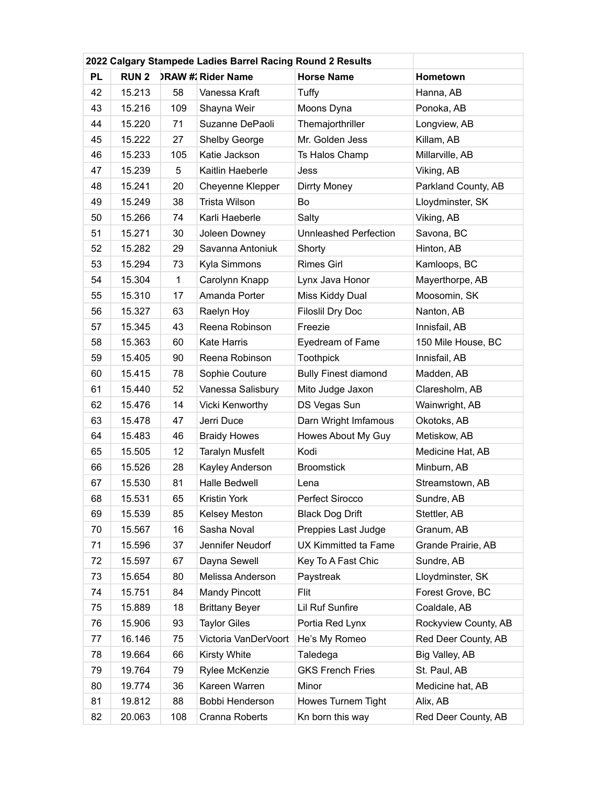|           | 2022 Calgary Stampede Ladies Barrel Racing Round 2 Results |     |                           |                              |                      |
|-----------|------------------------------------------------------------|-----|---------------------------|------------------------------|----------------------|
| <b>PL</b> | <b>RUN 2</b>                                               |     | <b>DRAW #: Rider Name</b> | <b>Horse Name</b>            | Hometown             |
| 42        | 15.213                                                     | 58  | Vanessa Kraft             | Tuffy                        | Hanna, AB            |
| 43        | 15.216                                                     | 109 | Shayna Weir               | Moons Dyna                   | Ponoka, AB           |
| 44        | 15.220                                                     | 71  | Suzanne DePaoli           | Themajorthriller             | Longview, AB         |
| 45        | 15.222                                                     | 27  | <b>Shelby George</b>      | Mr. Golden Jess              | Killam, AB           |
| 46        | 15.233                                                     | 105 | Katie Jackson             | Ts Halos Champ               | Millarville, AB      |
| 47        | 15.239                                                     | 5   | Kaitlin Haeberle          | Jess                         | Viking, AB           |
| 48        | 15.241                                                     | 20  | Cheyenne Klepper          | Dirrty Money                 | Parkland County, AB  |
| 49        | 15.249                                                     | 38  | Trista Wilson             | Bo                           | Lloydminster, SK     |
| 50        | 15.266                                                     | 74  | Karli Haeberle            | Salty                        | Viking, AB           |
| 51        | 15.271                                                     | 30  | Joleen Downey             | <b>Unnleashed Perfection</b> | Savona, BC           |
| 52        | 15.282                                                     | 29  | Savanna Antoniuk          | Shorty                       | Hinton, AB           |
| 53        | 15.294                                                     | 73  | Kyla Simmons              | <b>Rimes Girl</b>            | Kamloops, BC         |
| 54        | 15.304                                                     | 1   | Carolynn Knapp            | Lynx Java Honor              | Mayerthorpe, AB      |
| 55        | 15.310                                                     | 17  | Amanda Porter             | Miss Kiddy Dual              | Moosomin, SK         |
| 56        | 15.327                                                     | 63  | Raelyn Hoy                | <b>Filoslil Dry Doc</b>      | Nanton, AB           |
| 57        | 15.345                                                     | 43  | Reena Robinson            | Freezie                      | Innisfail, AB        |
| 58        | 15.363                                                     | 60  | Kate Harris               | Eyedream of Fame             | 150 Mile House, BC   |
| 59        | 15.405                                                     | 90  | Reena Robinson            | <b>Toothpick</b>             | Innisfail, AB        |
| 60        | 15.415                                                     | 78  | Sophie Couture            | <b>Bully Finest diamond</b>  | Madden, AB           |
| 61        | 15.440                                                     | 52  | Vanessa Salisbury         | Mito Judge Jaxon             | Claresholm, AB       |
| 62        | 15.476                                                     | 14  | Vicki Kenworthy           | DS Vegas Sun                 | Wainwright, AB       |
| 63        | 15.478                                                     | 47  | Jerri Duce                | Darn Wright Imfamous         | Okotoks, AB          |
| 64        | 15.483                                                     | 46  | <b>Braidy Howes</b>       | Howes About My Guy           | Metiskow, AB         |
| 65        | 15.505                                                     | 12  | <b>Taralyn Musfelt</b>    | Kodi                         | Medicine Hat, AB     |
| 66        | 15.526                                                     | 28  | Kayley Anderson           | <b>Broomstick</b>            | Minburn, AB          |
| 67        | 15.530                                                     | 81  | <b>Halle Bedwell</b>      | Lena                         | Streamstown, AB      |
| 68        | 15.531                                                     | 65  | Kristin York              | Perfect Sirocco              | Sundre, AB           |
| 69        | 15.539                                                     | 85  | Kelsey Meston             | <b>Black Dog Drift</b>       | Stettler, AB         |
| 70        | 15.567                                                     | 16  | Sasha Noval               | Preppies Last Judge          | Granum, AB           |
| 71        | 15.596                                                     | 37  | Jennifer Neudorf          | UX Kimmitted ta Fame         | Grande Prairie, AB   |
| 72        | 15.597                                                     | 67  | Dayna Sewell              | Key To A Fast Chic           | Sundre, AB           |
| 73        | 15.654                                                     | 80  | Melissa Anderson          | Paystreak                    | Lloydminster, SK     |
| 74        | 15.751                                                     | 84  | <b>Mandy Pincott</b>      | Flit                         | Forest Grove, BC     |
| 75        | 15.889                                                     | 18  | <b>Brittany Beyer</b>     | Lil Ruf Sunfire              | Coaldale, AB         |
| 76        | 15.906                                                     | 93  | <b>Taylor Giles</b>       | Portia Red Lynx              | Rockyview County, AB |
| 77        | 16.146                                                     | 75  | Victoria VanDerVoort      | He's My Romeo                | Red Deer County, AB  |
| 78        | 19.664                                                     | 66  | Kirsty White              | Taledega                     | Big Valley, AB       |
| 79        | 19.764                                                     | 79  | Rylee McKenzie            | <b>GKS French Fries</b>      | St. Paul, AB         |
| 80        | 19.774                                                     | 36  | Kareen Warren             | Minor                        | Medicine hat, AB     |
| 81        | 19.812                                                     | 88  | Bobbi Henderson           | Howes Turnem Tight           | Alix, AB             |
| 82        | 20.063                                                     | 108 | Cranna Roberts            | Kn born this way             | Red Deer County, AB  |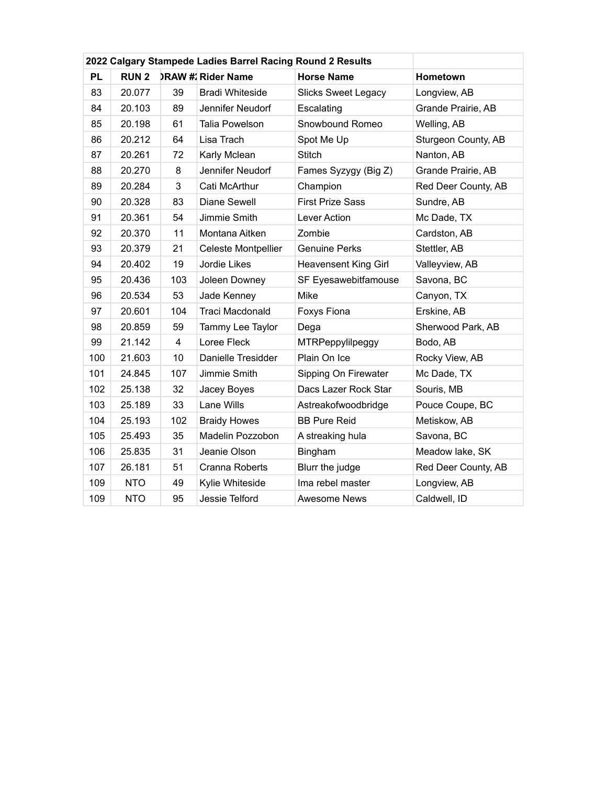| 2022 Calgary Stampede Ladies Barrel Racing Round 2 Results |           |             |     |                           |                             |                     |  |
|------------------------------------------------------------|-----------|-------------|-----|---------------------------|-----------------------------|---------------------|--|
|                                                            | <b>PL</b> | <b>RUN2</b> |     | <b>DRAW #: Rider Name</b> | <b>Horse Name</b>           | Hometown            |  |
|                                                            | 83        | 20.077      | 39  | <b>Bradi Whiteside</b>    | <b>Slicks Sweet Legacy</b>  | Longview, AB        |  |
|                                                            | 84        | 20.103      | 89  | Jennifer Neudorf          | Escalating                  | Grande Prairie, AB  |  |
|                                                            | 85        | 20.198      | 61  | Talia Powelson            | Snowbound Romeo             | Welling, AB         |  |
|                                                            | 86        | 20.212      | 64  | Lisa Trach                | Spot Me Up                  | Sturgeon County, AB |  |
|                                                            | 87        | 20.261      | 72  | Karly Mclean              | <b>Stitch</b>               | Nanton, AB          |  |
|                                                            | 88        | 20.270      | 8   | Jennifer Neudorf          | Fames Syzygy (Big Z)        | Grande Prairie, AB  |  |
|                                                            | 89        | 20.284      | 3   | Cati McArthur             | Champion                    | Red Deer County, AB |  |
|                                                            | 90        | 20.328      | 83  | Diane Sewell              | <b>First Prize Sass</b>     | Sundre, AB          |  |
|                                                            | 91        | 20.361      | 54  | Jimmie Smith              | Lever Action                | Mc Dade, TX         |  |
|                                                            | 92        | 20.370      | 11  | Montana Aitken            | Zombie                      | Cardston, AB        |  |
|                                                            | 93        | 20.379      | 21  | Celeste Montpellier       | <b>Genuine Perks</b>        | Stettler, AB        |  |
|                                                            | 94        | 20.402      | 19  | Jordie Likes              | <b>Heavensent King Girl</b> | Valleyview, AB      |  |
|                                                            | 95        | 20.436      | 103 | Joleen Downey             | SF Eyesawebitfamouse        | Savona, BC          |  |
|                                                            | 96        | 20.534      | 53  | Jade Kenney               | Mike                        | Canyon, TX          |  |
|                                                            | 97        | 20.601      | 104 | <b>Traci Macdonald</b>    | Foxys Fiona                 | Erskine, AB         |  |
|                                                            | 98        | 20.859      | 59  | Tammy Lee Taylor          | Dega                        | Sherwood Park, AB   |  |
|                                                            | 99        | 21.142      | 4   | Loree Fleck               | MTRPeppylilpeggy            | Bodo, AB            |  |
|                                                            | 100       | 21.603      | 10  | Danielle Tresidder        | Plain On Ice                | Rocky View, AB      |  |
|                                                            | 101       | 24.845      | 107 | Jimmie Smith              | Sipping On Firewater        | Mc Dade, TX         |  |
|                                                            | 102       | 25.138      | 32  | Jacey Boyes               | Dacs Lazer Rock Star        | Souris, MB          |  |
|                                                            | 103       | 25.189      | 33  | Lane Wills                | Astreakofwoodbridge         | Pouce Coupe, BC     |  |
|                                                            | 104       | 25.193      | 102 | <b>Braidy Howes</b>       | <b>BB Pure Reid</b>         | Metiskow, AB        |  |
|                                                            | 105       | 25.493      | 35  | Madelin Pozzobon          | A streaking hula            | Savona, BC          |  |
|                                                            | 106       | 25.835      | 31  | Jeanie Olson              | Bingham                     | Meadow lake, SK     |  |
|                                                            | 107       | 26.181      | 51  | Cranna Roberts            | Blurr the judge             | Red Deer County, AB |  |
|                                                            | 109       | <b>NTO</b>  | 49  | Kylie Whiteside           | Ima rebel master            | Longview, AB        |  |
|                                                            | 109       | <b>NTO</b>  | 95  | Jessie Telford            | <b>Awesome News</b>         | Caldwell, ID        |  |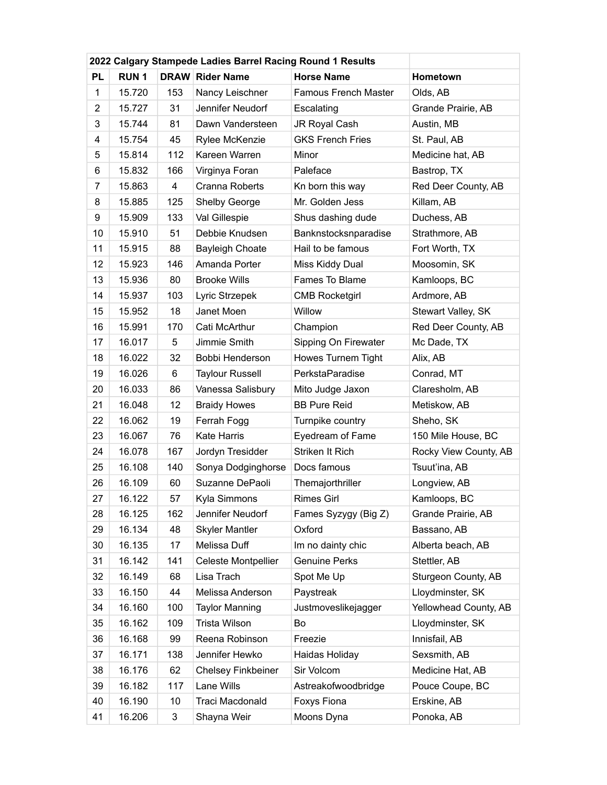|                | 2022 Calgary Stampede Ladies Barrel Racing Round 1 Results |     |                           |                             |                       |
|----------------|------------------------------------------------------------|-----|---------------------------|-----------------------------|-----------------------|
| <b>PL</b>      | <b>RUN1</b>                                                |     | <b>DRAW Rider Name</b>    | <b>Horse Name</b>           | Hometown              |
| $\mathbf{1}$   | 15.720                                                     | 153 | Nancy Leischner           | <b>Famous French Master</b> | Olds, AB              |
| $\overline{2}$ | 15.727                                                     | 31  | Jennifer Neudorf          | Escalating                  | Grande Prairie, AB    |
| 3              | 15.744                                                     | 81  | Dawn Vandersteen          | JR Royal Cash               | Austin, MB            |
| 4              | 15.754                                                     | 45  | Rylee McKenzie            | <b>GKS French Fries</b>     | St. Paul, AB          |
| 5              | 15.814                                                     | 112 | Kareen Warren             | Minor                       | Medicine hat, AB      |
| 6              | 15.832                                                     | 166 | Virginya Foran            | Paleface                    | Bastrop, TX           |
| 7              | 15.863                                                     | 4   | Cranna Roberts            | Kn born this way            | Red Deer County, AB   |
| 8              | 15.885                                                     | 125 | <b>Shelby George</b>      | Mr. Golden Jess             | Killam, AB            |
| 9              | 15.909                                                     | 133 | Val Gillespie             | Shus dashing dude           | Duchess, AB           |
| 10             | 15.910                                                     | 51  | Debbie Knudsen            | Banknstocksnparadise        | Strathmore, AB        |
| 11             | 15.915                                                     | 88  | <b>Bayleigh Choate</b>    | Hail to be famous           | Fort Worth, TX        |
| 12             | 15.923                                                     | 146 | Amanda Porter             | Miss Kiddy Dual             | Moosomin, SK          |
| 13             | 15.936                                                     | 80  | <b>Brooke Wills</b>       | Fames To Blame              | Kamloops, BC          |
| 14             | 15.937                                                     | 103 | Lyric Strzepek            | <b>CMB Rocketgirl</b>       | Ardmore, AB           |
| 15             | 15.952                                                     | 18  | Janet Moen                | Willow                      | Stewart Valley, SK    |
| 16             | 15.991                                                     | 170 | Cati McArthur             | Champion                    | Red Deer County, AB   |
| 17             | 16.017                                                     | 5   | Jimmie Smith              | Sipping On Firewater        | Mc Dade, TX           |
| 18             | 16.022                                                     | 32  | Bobbi Henderson           | Howes Turnem Tight          | Alix, AB              |
| 19             | 16.026                                                     | 6   | <b>Taylour Russell</b>    | PerkstaParadise             | Conrad, MT            |
| 20             | 16.033                                                     | 86  | Vanessa Salisbury         | Mito Judge Jaxon            | Claresholm, AB        |
| 21             | 16.048                                                     | 12  | <b>Braidy Howes</b>       | <b>BB Pure Reid</b>         | Metiskow, AB          |
| 22             | 16.062                                                     | 19  | Ferrah Fogg               | Turnpike country            | Sheho, SK             |
| 23             | 16.067                                                     | 76  | <b>Kate Harris</b>        | Eyedream of Fame            | 150 Mile House, BC    |
| 24             | 16.078                                                     | 167 | Jordyn Tresidder          | Striken It Rich             | Rocky View County, AB |
| 25             | 16.108                                                     | 140 | Sonya Dodginghorse        | Docs famous                 | Tsuut'ina, AB         |
| 26             | 16.109                                                     | 60  | Suzanne DePaoli           | Themajorthriller            | Longview, AB          |
| 27             | 16.122                                                     | 57  | Kyla Simmons              | Rimes Girl                  | Kamloops, BC          |
| 28             | 16.125                                                     | 162 | Jennifer Neudorf          | Fames Syzygy (Big Z)        | Grande Prairie, AB    |
| 29             | 16.134                                                     | 48  | <b>Skyler Mantler</b>     | Oxford                      | Bassano, AB           |
| 30             | 16.135                                                     | 17  | Melissa Duff              | Im no dainty chic           | Alberta beach, AB     |
| 31             | 16.142                                                     | 141 | Celeste Montpellier       | <b>Genuine Perks</b>        | Stettler, AB          |
| 32             | 16.149                                                     | 68  | Lisa Trach                | Spot Me Up                  | Sturgeon County, AB   |
| 33             | 16.150                                                     | 44  | Melissa Anderson          | Paystreak                   | Lloydminster, SK      |
| 34             | 16.160                                                     | 100 | <b>Taylor Manning</b>     | Justmoveslikejagger         | Yellowhead County, AB |
| 35             | 16.162                                                     | 109 | Trista Wilson             | Bo                          | Lloydminster, SK      |
| 36             | 16.168                                                     | 99  | Reena Robinson            | Freezie                     | Innisfail, AB         |
| 37             | 16.171                                                     | 138 | Jennifer Hewko            | Haidas Holiday              | Sexsmith, AB          |
| 38             | 16.176                                                     | 62  | <b>Chelsey Finkbeiner</b> | Sir Volcom                  | Medicine Hat, AB      |
| 39             | 16.182                                                     | 117 | Lane Wills                | Astreakofwoodbridge         | Pouce Coupe, BC       |
| 40             | 16.190                                                     | 10  | Traci Macdonald           | Foxys Fiona                 | Erskine, AB           |
| 41             | 16.206                                                     | 3   | Shayna Weir               | Moons Dyna                  | Ponoka, AB            |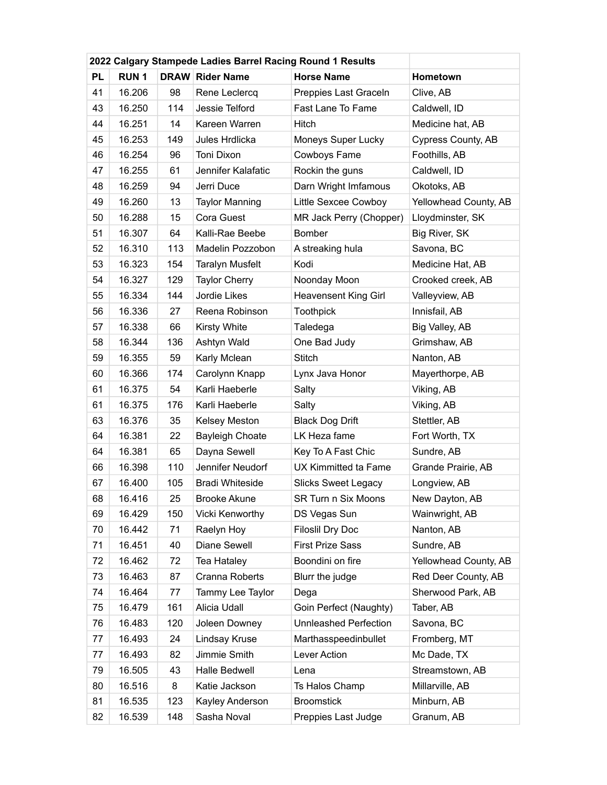|           | 2022 Calgary Stampede Ladies Barrel Racing Round 1 Results |     |                        |                             |                       |
|-----------|------------------------------------------------------------|-----|------------------------|-----------------------------|-----------------------|
| <b>PL</b> | <b>RUN1</b>                                                |     | <b>DRAW Rider Name</b> | <b>Horse Name</b>           | Hometown              |
| 41        | 16.206                                                     | 98  | Rene Leclercq          | Preppies Last Graceln       | Clive, AB             |
| 43        | 16.250                                                     | 114 | Jessie Telford         | Fast Lane To Fame           | Caldwell, ID          |
| 44        | 16.251                                                     | 14  | Kareen Warren          | Hitch                       | Medicine hat, AB      |
| 45        | 16.253                                                     | 149 | Jules Hrdlicka         | Moneys Super Lucky          | Cypress County, AB    |
| 46        | 16.254                                                     | 96  | Toni Dixon             | Cowboys Fame                | Foothills, AB         |
| 47        | 16.255                                                     | 61  | Jennifer Kalafatic     | Rockin the guns             | Caldwell, ID          |
| 48        | 16.259                                                     | 94  | Jerri Duce             | Darn Wright Imfamous        | Okotoks, AB           |
| 49        | 16.260                                                     | 13  | <b>Taylor Manning</b>  | Little Sexcee Cowboy        | Yellowhead County, AB |
| 50        | 16.288                                                     | 15  | Cora Guest             | MR Jack Perry (Chopper)     | Lloydminster, SK      |
| 51        | 16.307                                                     | 64  | Kalli-Rae Beebe        | <b>Bomber</b>               | Big River, SK         |
| 52        | 16.310                                                     | 113 | Madelin Pozzobon       | A streaking hula            | Savona, BC            |
| 53        | 16.323                                                     | 154 | <b>Taralyn Musfelt</b> | Kodi                        | Medicine Hat, AB      |
| 54        | 16.327                                                     | 129 | <b>Taylor Cherry</b>   | Noonday Moon                | Crooked creek, AB     |
| 55        | 16.334                                                     | 144 | Jordie Likes           | <b>Heavensent King Girl</b> | Valleyview, AB        |
| 56        | 16.336                                                     | 27  | Reena Robinson         | <b>Toothpick</b>            | Innisfail, AB         |
| 57        | 16.338                                                     | 66  | <b>Kirsty White</b>    | Taledega                    | Big Valley, AB        |
| 58        | 16.344                                                     | 136 | Ashtyn Wald            | One Bad Judy                | Grimshaw, AB          |
| 59        | 16.355                                                     | 59  | Karly Mclean           | <b>Stitch</b>               | Nanton, AB            |
| 60        | 16.366                                                     | 174 | Carolynn Knapp         | Lynx Java Honor             | Mayerthorpe, AB       |
| 61        | 16.375                                                     | 54  | Karli Haeberle         | Salty                       | Viking, AB            |
| 61        | 16.375                                                     | 176 | Karli Haeberle         | Salty                       | Viking, AB            |
| 63        | 16.376                                                     | 35  | Kelsey Meston          | <b>Black Dog Drift</b>      | Stettler, AB          |
| 64        | 16.381                                                     | 22  | <b>Bayleigh Choate</b> | LK Heza fame                | Fort Worth, TX        |
| 64        | 16.381                                                     | 65  | Dayna Sewell           | Key To A Fast Chic          | Sundre, AB            |
| 66        | 16.398                                                     | 110 | Jennifer Neudorf       | <b>UX Kimmitted ta Fame</b> | Grande Prairie, AB    |
| 67        | 16.400                                                     | 105 | <b>Bradi Whiteside</b> | <b>Slicks Sweet Legacy</b>  | Longview, AB          |
| 68        | 16.416                                                     | 25  | Brooke Akune           | SR Turn n Six Moons         | New Dayton, AB        |
| 69        | 16.429                                                     | 150 | Vicki Kenworthy        | DS Vegas Sun                | Wainwright, AB        |
| 70        | 16.442                                                     | 71  | Raelyn Hoy             | <b>Filoslil Dry Doc</b>     | Nanton, AB            |
| 71        | 16.451                                                     | 40  | Diane Sewell           | <b>First Prize Sass</b>     | Sundre, AB            |
| 72        | 16.462                                                     | 72  | Tea Hataley            | Boondini on fire            | Yellowhead County, AB |
| 73        | 16.463                                                     | 87  | Cranna Roberts         | Blurr the judge             | Red Deer County, AB   |
| 74        | 16.464                                                     | 77  | Tammy Lee Taylor       | Dega                        | Sherwood Park, AB     |
| 75        | 16.479                                                     | 161 | Alicia Udall           | Goin Perfect (Naughty)      | Taber, AB             |
| 76        | 16.483                                                     | 120 | Joleen Downey          | Unnleashed Perfection       | Savona, BC            |
| 77        | 16.493                                                     | 24  | Lindsay Kruse          | Marthasspeedinbullet        | Fromberg, MT          |
| 77        | 16.493                                                     | 82  | Jimmie Smith           | Lever Action                | Mc Dade, TX           |
| 79        | 16.505                                                     | 43  | Halle Bedwell          | Lena                        | Streamstown, AB       |
| 80        | 16.516                                                     | 8   | Katie Jackson          | Ts Halos Champ              | Millarville, AB       |
| 81        | 16.535                                                     | 123 | Kayley Anderson        | <b>Broomstick</b>           | Minburn, AB           |
| 82        | 16.539                                                     | 148 | Sasha Noval            | Preppies Last Judge         | Granum, AB            |